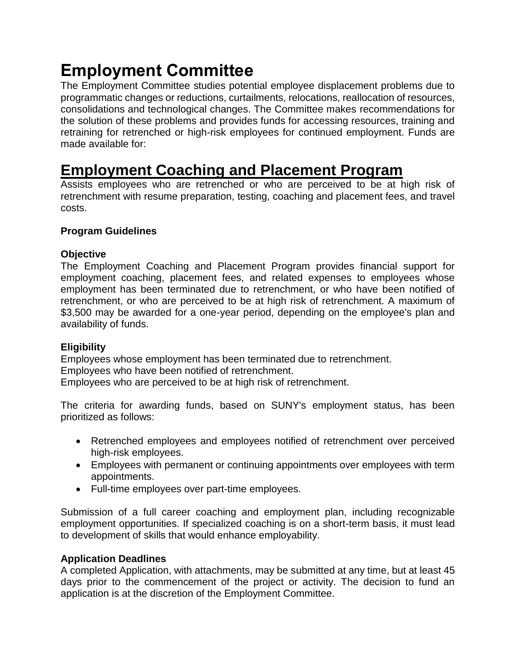# **Employment Committee**

The Employment Committee studies potential employee displacement problems due to programmatic changes or reductions, curtailments, relocations, reallocation of resources, consolidations and technological changes. The Committee makes recommendations for the solution of these problems and provides funds for accessing resources, training and retraining for retrenched or high-risk employees for continued employment. Funds are made available for:

# **[Employment Coaching and Placement Program](https://www.nysuup.lmc.ny.gov/employment/coaching.html)**

Assists employees who are retrenched or who are perceived to be at high risk of retrenchment with resume preparation, testing, coaching and placement fees, and travel costs.

# **Program Guidelines**

### **Objective**

The Employment Coaching and Placement Program provides financial support for employment coaching, placement fees, and related expenses to employees whose employment has been terminated due to retrenchment, or who have been notified of retrenchment, or who are perceived to be at high risk of retrenchment. A maximum of \$3,500 may be awarded for a one-year period, depending on the employee's plan and availability of funds.

# **Eligibility**

Employees whose employment has been terminated due to retrenchment. Employees who have been notified of retrenchment. Employees who are perceived to be at high risk of retrenchment.

The criteria for awarding funds, based on SUNY's employment status, has been prioritized as follows:

- Retrenched employees and employees notified of retrenchment over perceived high-risk employees.
- Employees with permanent or continuing appointments over employees with term appointments.
- Full-time employees over part-time employees.

Submission of a full career coaching and employment plan, including recognizable employment opportunities. If specialized coaching is on a short-term basis, it must lead to development of skills that would enhance employability.

#### **Application Deadlines**

A completed Application, with attachments, may be submitted at any time, but at least 45 days prior to the commencement of the project or activity. The decision to fund an application is at the discretion of the Employment Committee.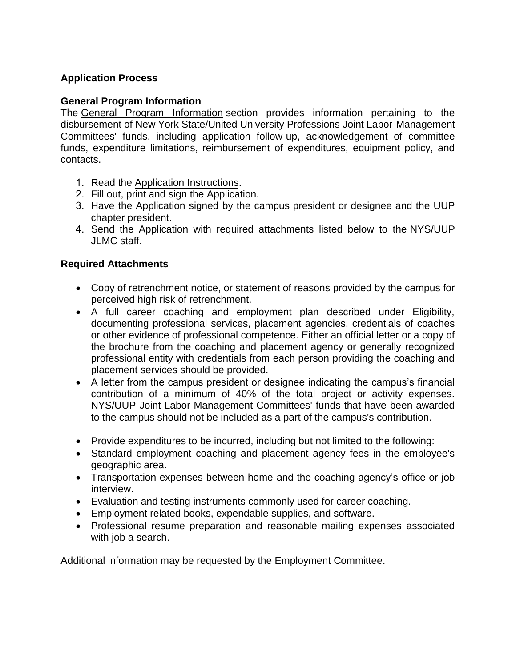# **Application Process**

#### **General Program Information**

The [General Program Information](https://oer.ny.gov/general-program-information) section provides information pertaining to the disbursement of New York State/United University Professions Joint Labor-Management Committees' funds, including application follow-up, acknowledgement of committee funds, expenditure limitations, reimbursement of expenditures, equipment policy, and contacts.

- 1. Read the [Application Instructions.](https://oer.ny.gov/instructions-completing-fillable-pdf-application)
- 2. Fill out, print and sign the [Application.](https://www.nysuup.lmc.ny.gov/forms/Employment-Coaching-FILLABLE-APPLICATION.pdf)
- 3. Have the Application signed by the campus president or designee and the UUP chapter president.
- 4. Send the Application with required attachments listed below to the [NYS/UUP](https://www.nysuup.lmc.ny.gov/contact.html) JLMC staff.

#### **Required Attachments**

- Copy of retrenchment notice, or statement of reasons provided by the campus for perceived high risk of retrenchment.
- A full career coaching and employment plan described under Eligibility, documenting professional services, placement agencies, credentials of coaches or other evidence of professional competence. Either an official letter or a copy of the brochure from the coaching and placement agency or generally recognized professional entity with credentials from each person providing the coaching and placement services should be provided.
- A letter from the campus president or designee indicating the campus's financial contribution of a minimum of 40% of the total project or activity expenses. NYS/UUP Joint Labor-Management Committees' funds that have been awarded to the campus should not be included as a part of the campus's contribution.
- Provide expenditures to be incurred, including but not limited to the following:
- Standard employment coaching and placement agency fees in the employee's geographic area.
- Transportation expenses between home and the coaching agency's office or job interview.
- Evaluation and testing instruments commonly used for career coaching.
- Employment related books, expendable supplies, and software.
- Professional resume preparation and reasonable mailing expenses associated with job a search.

Additional information may be requested by the Employment Committee.